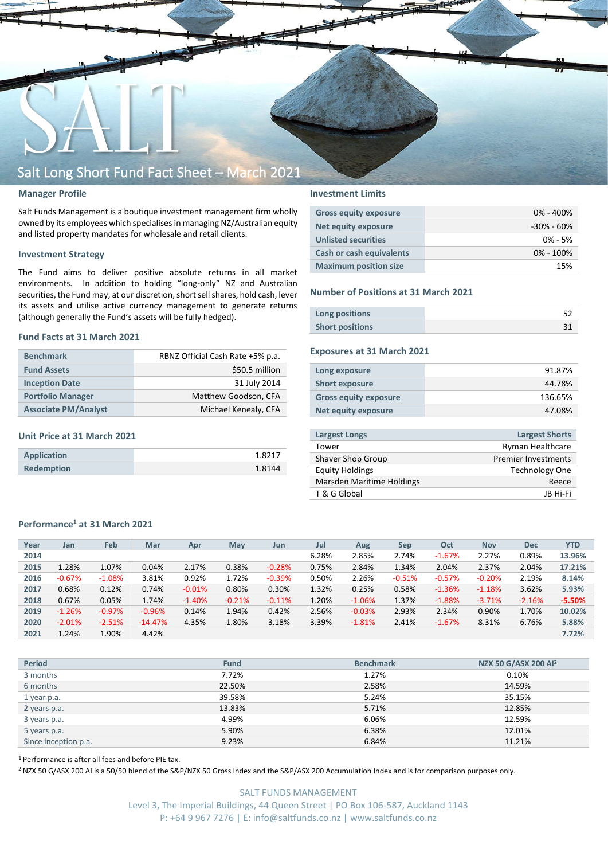

### **Manager Profile**

Salt Funds Management is a boutique investment management firm wholly owned by its employees which specialisesin managing NZ/Australian equity and listed property mandates for wholesale and retail clients.

### **Investment Strategy**

The Fund aims to deliver positive absolute returns in all market environments. In addition to holding "long-only" NZ and Australian securities, the Fund may, at our discretion, short sell shares, hold cash, lever its assets and utilise active currency management to generate returns (although generally the Fund's assets will be fully hedged).

#### **Fund Facts at 31 March 2021**

| <b>Benchmark</b>            | RBNZ Official Cash Rate +5% p.a. |  |  |  |  |
|-----------------------------|----------------------------------|--|--|--|--|
| <b>Fund Assets</b>          | \$50.5 million                   |  |  |  |  |
| <b>Inception Date</b>       | 31 July 2014                     |  |  |  |  |
| <b>Portfolio Manager</b>    | Matthew Goodson, CFA             |  |  |  |  |
| <b>Associate PM/Analyst</b> | Michael Kenealy, CFA             |  |  |  |  |

### **Unit Price at 31 March 2021**

| Application       | 1.8217 |
|-------------------|--------|
| <b>Redemption</b> | 1.8144 |

## **Investment Limits**

| <b>Gross equity exposure</b> | $0\% - 400\%$  |
|------------------------------|----------------|
| <b>Net equity exposure</b>   | $-30\% - 60\%$ |
| <b>Unlisted securities</b>   | $0\% - 5\%$    |
| Cash or cash equivalents     | $0\% - 100\%$  |
| <b>Maximum position size</b> | 15%            |

#### **Number of Positions at 31 March 2021**

| Long positions         |  |
|------------------------|--|
| <b>Short positions</b> |  |

## **Exposures at 31 March 2021**

| Long exposure                | 91.87%  |
|------------------------------|---------|
| <b>Short exposure</b>        | 44.78%  |
| <b>Gross equity exposure</b> | 136.65% |
| Net equity exposure          | 47.08%  |

| <b>Largest Longs</b>             | <b>Largest Shorts</b>      |
|----------------------------------|----------------------------|
| Tower                            | Ryman Healthcare           |
| Shaver Shop Group                | <b>Premier Investments</b> |
| <b>Equity Holdings</b>           | <b>Technology One</b>      |
| <b>Marsden Maritime Holdings</b> | Reece                      |
| T & G Global                     | IB Hi-Fi                   |
|                                  |                            |

## **Performance<sup>1</sup> at 31 March 2021**

| Year | Jan      | Feb       | Mar       | Apr      | May      | Jun      | Jul   | Aug      | Sep      | Oct      | <b>Nov</b> | <b>Dec</b> | <b>YTD</b> |
|------|----------|-----------|-----------|----------|----------|----------|-------|----------|----------|----------|------------|------------|------------|
| 2014 |          |           |           |          |          |          | 6.28% | 2.85%    | 2.74%    | $-1.67%$ | 2.27%      | 0.89%      | 13.96%     |
| 2015 | 1.28%    | 1.07%     | 0.04%     | 2.17%    | 0.38%    | $-0.28%$ | 0.75% | 2.84%    | 1.34%    | 2.04%    | 2.37%      | 2.04%      | 17.21%     |
| 2016 | $-0.67%$ | $-1.08\%$ | 3.81%     | 0.92%    | 1.72%    | $-0.39%$ | 0.50% | 2.26%    | $-0.51%$ | $-0.57%$ | $-0.20%$   | 2.19%      | 8.14%      |
| 2017 | 0.68%    | 0.12%     | 0.74%     | $-0.01%$ | 0.80%    | 0.30%    | 1.32% | 0.25%    | 0.58%    | $-1.36%$ | $-1.18%$   | 3.62%      | 5.93%      |
| 2018 | 0.67%    | 0.05%     | 1.74%     | $-1.40%$ | $-0.21%$ | $-0.11%$ | 1.20% | $-1.06%$ | 1.37%    | $-1.88%$ | $-3.71%$   | $-2.16%$   | $-5.50%$   |
| 2019 | $-1.26%$ | $-0.97\%$ | $-0.96%$  | 0.14%    | 1.94%    | 0.42%    | 2.56% | $-0.03%$ | 2.93%    | 2.34%    | 0.90%      | 1.70%      | 10.02%     |
| 2020 | $-2.01%$ | $-2.51%$  | $-14.47%$ | 4.35%    | 1.80%    | 3.18%    | 3.39% | $-1.81%$ | 2.41%    | $-1.67%$ | 8.31%      | 6.76%      | 5.88%      |
| 2021 | 1.24%    | 1.90%     | 4.42%     |          |          |          |       |          |          |          |            |            | 7.72%      |

| <b>Period</b>        | <b>Fund</b> | <b>Benchmark</b> | NZX 50 G/ASX 200 Al <sup>2</sup> |
|----------------------|-------------|------------------|----------------------------------|
| 3 months             | 7.72%       | 1.27%            | 0.10%                            |
| 6 months             | 22.50%      | 2.58%            | 14.59%                           |
| 1 year p.a.          | 39.58%      | 5.24%            | 35.15%                           |
| 2 years p.a.         | 13.83%      | 5.71%            | 12.85%                           |
| 3 years p.a.         | 4.99%       | 6.06%            | 12.59%                           |
| 5 years p.a.         | 5.90%       | 6.38%            | 12.01%                           |
| Since inception p.a. | 9.23%       | 6.84%            | 11.21%                           |

<sup>1</sup> Performance is after all fees and before PIE tax.

<sup>2</sup> NZX 50 G/ASX 200 AI is a 50/50 blend of the S&P/NZX 50 Gross Index and the S&P/ASX 200 Accumulation Index and is for comparison purposes only.

SALT FUNDS MANAGEMENT Level 3, The Imperial Buildings, 44 Queen Street | PO Box 106-587, Auckland 1143 P: +64 9 967 7276 | E: info@saltfunds.co.nz | www.saltfunds.co.nz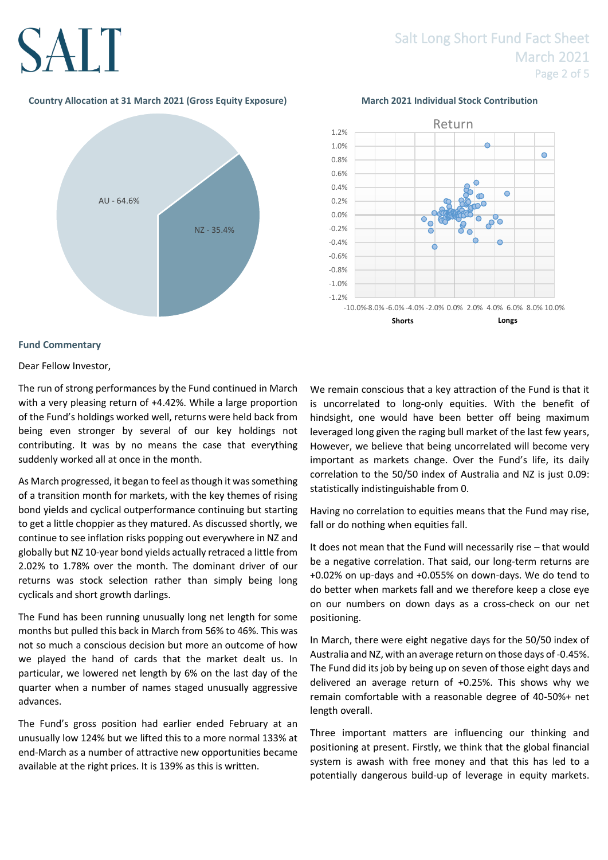## SALT

## Salt Long Short Fund Fact Sheet March 2021 Page 2 of 5

## **Country Allocation at 31 March 2021 (Gross Equity Exposure) March 2021 Individual Stock Contribution**





## **Fund Commentary**

Dear Fellow Investor,

The run of strong performances by the Fund continued in March with a very pleasing return of +4.42%. While a large proportion of the Fund's holdings worked well, returns were held back from being even stronger by several of our key holdings not contributing. It was by no means the case that everything suddenly worked all at once in the month.

As March progressed, it began to feel as though it was something of a transition month for markets, with the key themes of rising bond yields and cyclical outperformance continuing but starting to get a little choppier as they matured. As discussed shortly, we continue to see inflation risks popping out everywhere in NZ and globally but NZ 10-year bond yields actually retraced a little from 2.02% to 1.78% over the month. The dominant driver of our returns was stock selection rather than simply being long cyclicals and short growth darlings.

The Fund has been running unusually long net length for some months but pulled this back in March from 56% to 46%. This was not so much a conscious decision but more an outcome of how we played the hand of cards that the market dealt us. In particular, we lowered net length by 6% on the last day of the quarter when a number of names staged unusually aggressive advances.

The Fund's gross position had earlier ended February at an unusually low 124% but we lifted this to a more normal 133% at end-March as a number of attractive new opportunities became available at the right prices. It is 139% as this is written.

We remain conscious that a key attraction of the Fund is that it is uncorrelated to long-only equities. With the benefit of hindsight, one would have been better off being maximum leveraged long given the raging bull market of the last few years, However, we believe that being uncorrelated will become very important as markets change. Over the Fund's life, its daily correlation to the 50/50 index of Australia and NZ is just 0.09: statistically indistinguishable from 0.

Having no correlation to equities means that the Fund may rise, fall or do nothing when equities fall.

It does not mean that the Fund will necessarily rise – that would be a negative correlation. That said, our long-term returns are +0.02% on up-days and +0.055% on down-days. We do tend to do better when markets fall and we therefore keep a close eye on our numbers on down days as a cross-check on our net positioning.

In March, there were eight negative days for the 50/50 index of Australia and NZ, with an average return on those days of -0.45%. The Fund did its job by being up on seven of those eight days and delivered an average return of +0.25%. This shows why we remain comfortable with a reasonable degree of 40-50%+ net length overall.

Three important matters are influencing our thinking and positioning at present. Firstly, we think that the global financial system is awash with free money and that this has led to a potentially dangerous build-up of leverage in equity markets.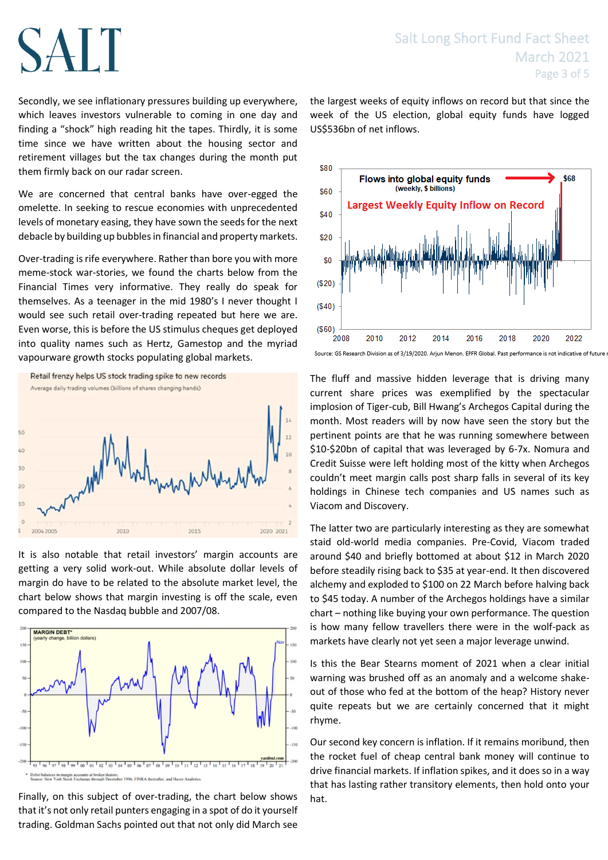## SALT

Secondly, we see inflationary pressures building up everywhere, which leaves investors vulnerable to coming in one day and finding a "shock" high reading hit the tapes. Thirdly, it is some time since we have written about the housing sector and retirement villages but the tax changes during the month put them firmly back on our radar screen.

We are concerned that central banks have over-egged the omelette. In seeking to rescue economies with unprecedented levels of monetary easing, they have sown the seeds for the next debacle by building up bubbles in financial and property markets.

Over-trading is rife everywhere. Rather than bore you with more meme-stock war-stories, we found the charts below from the Financial Times very informative. They really do speak for themselves. As a teenager in the mid 1980's I never thought I would see such retail over-trading repeated but here we are. Even worse, this is before the US stimulus cheques get deployed into quality names such as Hertz, Gamestop and the myriad vapourware growth stocks populating global markets.



It is also notable that retail investors' margin accounts are getting a very solid work-out. While absolute dollar levels of margin do have to be related to the absolute market level, the chart below shows that margin investing is off the scale, even compared to the Nasdaq bubble and 2007/08.



Finally, on this subject of over-trading, the chart below shows that it's not only retail punters engaging in a spot of do it yourself trading. Goldman Sachs pointed out that not only did March see

the largest weeks of equity inflows on record but that since the week of the US election, global equity funds have logged US\$536bn of net inflows.



Source: GS Research Division as of 3/19/2020. Arjun Menon. EPFR Global. Past performance is not indicative of future

The fluff and massive hidden leverage that is driving many current share prices was exemplified by the spectacular implosion of Tiger-cub, Bill Hwang's Archegos Capital during the month. Most readers will by now have seen the story but the pertinent points are that he was running somewhere between \$10-\$20bn of capital that was leveraged by 6-7x. Nomura and Credit Suisse were left holding most of the kitty when Archegos couldn't meet margin calls post sharp falls in several of its key holdings in Chinese tech companies and US names such as Viacom and Discovery.

The latter two are particularly interesting as they are somewhat staid old-world media companies. Pre-Covid, Viacom traded around \$40 and briefly bottomed at about \$12 in March 2020 before steadily rising back to \$35 at year-end. It then discovered alchemy and exploded to \$100 on 22 March before halving back to \$45 today. A number of the Archegos holdings have a similar chart – nothing like buying your own performance. The question is how many fellow travellers there were in the wolf-pack as markets have clearly not yet seen a major leverage unwind.

Is this the Bear Stearns moment of 2021 when a clear initial warning was brushed off as an anomaly and a welcome shakeout of those who fed at the bottom of the heap? History never quite repeats but we are certainly concerned that it might rhyme.

Our second key concern is inflation. If it remains moribund, then the rocket fuel of cheap central bank money will continue to drive financial markets. If inflation spikes, and it does so in a way that has lasting rather transitory elements, then hold onto your hat.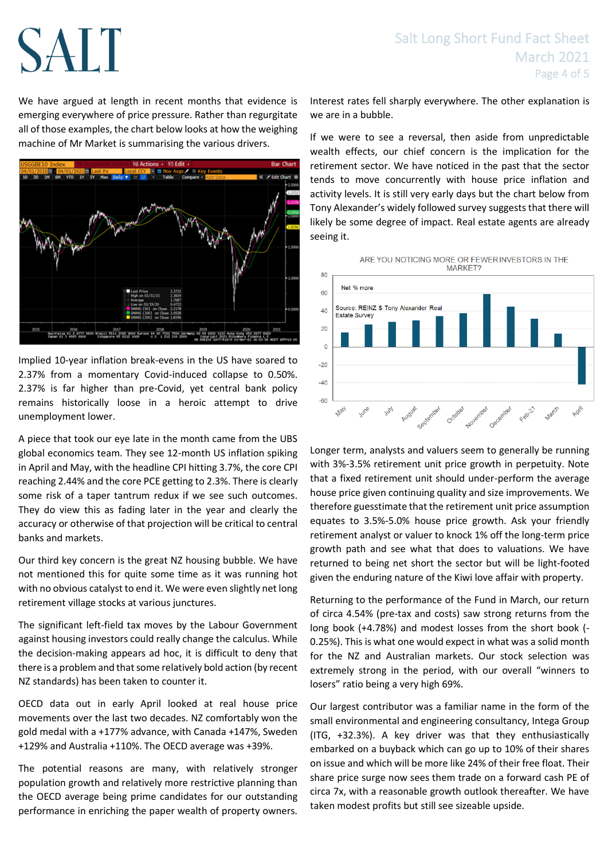## Salt Long Short Fund Fact Sheet March 2021 Page 4 of 5

We have argued at length in recent months that evidence is emerging everywhere of price pressure. Rather than regurgitate all of those examples, the chart below looks at how the weighing machine of Mr Market is summarising the various drivers.

SALT



Implied 10-year inflation break-evens in the US have soared to 2.37% from a momentary Covid-induced collapse to 0.50%. 2.37% is far higher than pre-Covid, yet central bank policy remains historically loose in a heroic attempt to drive unemployment lower.

A piece that took our eye late in the month came from the UBS global economics team. They see 12-month US inflation spiking in April and May, with the headline CPI hitting 3.7%, the core CPI reaching 2.44% and the core PCE getting to 2.3%. There is clearly some risk of a taper tantrum redux if we see such outcomes. They do view this as fading later in the year and clearly the accuracy or otherwise of that projection will be critical to central banks and markets.

Our third key concern is the great NZ housing bubble. We have not mentioned this for quite some time as it was running hot with no obvious catalyst to end it. We were even slightly net long retirement village stocks at various junctures.

The significant left-field tax moves by the Labour Government against housing investors could really change the calculus. While the decision-making appears ad hoc, it is difficult to deny that there is a problem and that some relatively bold action (by recent NZ standards) has been taken to counter it.

OECD data out in early April looked at real house price movements over the last two decades. NZ comfortably won the gold medal with a +177% advance, with Canada +147%, Sweden +129% and Australia +110%. The OECD average was +39%.

The potential reasons are many, with relatively stronger population growth and relatively more restrictive planning than the OECD average being prime candidates for our outstanding performance in enriching the paper wealth of property owners. Interest rates fell sharply everywhere. The other explanation is we are in a bubble.

If we were to see a reversal, then aside from unpredictable wealth effects, our chief concern is the implication for the retirement sector. We have noticed in the past that the sector tends to move concurrently with house price inflation and activity levels. It is still very early days but the chart below from Tony Alexander's widely followed survey suggests that there will likely be some degree of impact. Real estate agents are already seeing it.



Longer term, analysts and valuers seem to generally be running with 3%-3.5% retirement unit price growth in perpetuity. Note that a fixed retirement unit should under-perform the average house price given continuing quality and size improvements. We therefore guesstimate that the retirement unit price assumption equates to 3.5%-5.0% house price growth. Ask your friendly retirement analyst or valuer to knock 1% off the long-term price growth path and see what that does to valuations. We have returned to being net short the sector but will be light-footed given the enduring nature of the Kiwi love affair with property.

Returning to the performance of the Fund in March, our return of circa 4.54% (pre-tax and costs) saw strong returns from the long book (+4.78%) and modest losses from the short book (- 0.25%). This is what one would expect in what was a solid month for the NZ and Australian markets. Our stock selection was extremely strong in the period, with our overall "winners to losers" ratio being a very high 69%.

Our largest contributor was a familiar name in the form of the small environmental and engineering consultancy, Intega Group (ITG, +32.3%). A key driver was that they enthusiastically embarked on a buyback which can go up to 10% of their shares on issue and which will be more like 24% of their free float. Their share price surge now sees them trade on a forward cash PE of circa 7x, with a reasonable growth outlook thereafter. We have taken modest profits but still see sizeable upside.